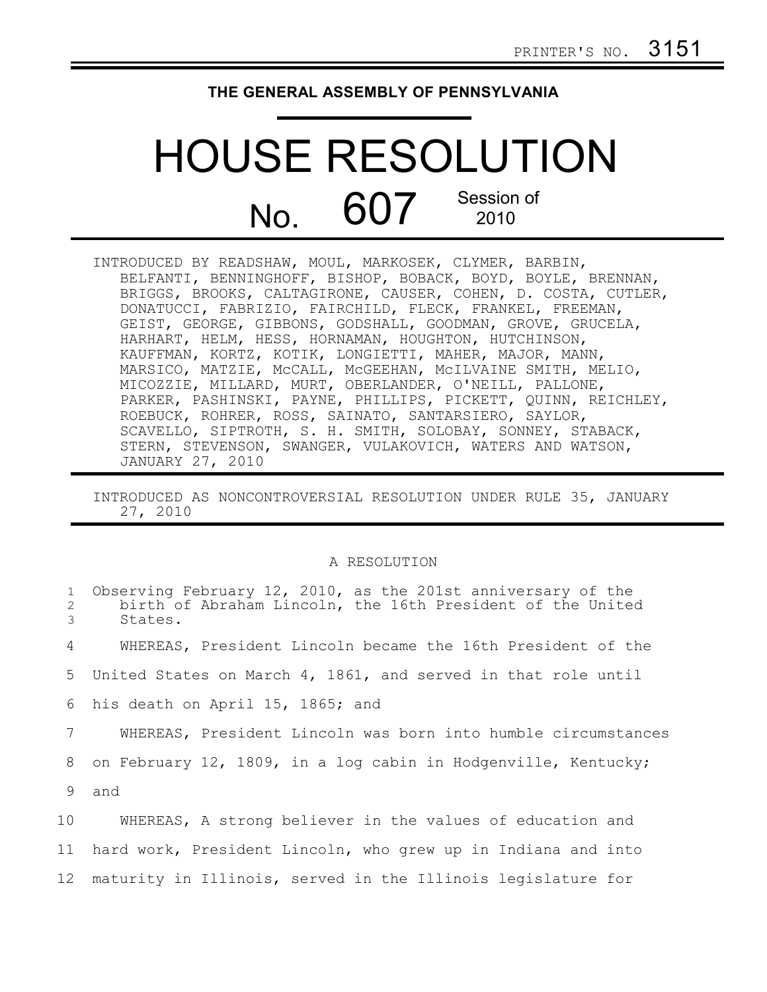## **THE GENERAL ASSEMBLY OF PENNSYLVANIA**

## HOUSE RESOLUTION  $N<sub>O</sub>$  607 Session of 2010

INTRODUCED BY READSHAW, MOUL, MARKOSEK, CLYMER, BARBIN, BELFANTI, BENNINGHOFF, BISHOP, BOBACK, BOYD, BOYLE, BRENNAN, BRIGGS, BROOKS, CALTAGIRONE, CAUSER, COHEN, D. COSTA, CUTLER, DONATUCCI, FABRIZIO, FAIRCHILD, FLECK, FRANKEL, FREEMAN, GEIST, GEORGE, GIBBONS, GODSHALL, GOODMAN, GROVE, GRUCELA, HARHART, HELM, HESS, HORNAMAN, HOUGHTON, HUTCHINSON, KAUFFMAN, KORTZ, KOTIK, LONGIETTI, MAHER, MAJOR, MANN, MARSICO, MATZIE, McCALL, McGEEHAN, McILVAINE SMITH, MELIO, MICOZZIE, MILLARD, MURT, OBERLANDER, O'NEILL, PALLONE, PARKER, PASHINSKI, PAYNE, PHILLIPS, PICKETT, QUINN, REICHLEY, ROEBUCK, ROHRER, ROSS, SAINATO, SANTARSIERO, SAYLOR, SCAVELLO, SIPTROTH, S. H. SMITH, SOLOBAY, SONNEY, STABACK, STERN, STEVENSON, SWANGER, VULAKOVICH, WATERS AND WATSON, JANUARY 27, 2010

INTRODUCED AS NONCONTROVERSIAL RESOLUTION UNDER RULE 35, JANUARY 27, 2010

## A RESOLUTION

| $\mathbf{1}$<br>2<br>3 | Observing February 12, 2010, as the 201st anniversary of the<br>birth of Abraham Lincoln, the 16th President of the United<br>States. |
|------------------------|---------------------------------------------------------------------------------------------------------------------------------------|
| 4                      | WHEREAS, President Lincoln became the 16th President of the                                                                           |
| 5                      | United States on March 4, 1861, and served in that role until                                                                         |
|                        | 6 his death on April 15, 1865; and                                                                                                    |
| 7                      | WHEREAS, President Lincoln was born into humble circumstances                                                                         |
| 8                      | on February 12, 1809, in a log cabin in Hodgenville, Kentucky;                                                                        |
| 9                      | and                                                                                                                                   |
| 10                     | WHEREAS, A strong believer in the values of education and                                                                             |
|                        | 11 hard work, President Lincoln, who grew up in Indiana and into                                                                      |
|                        | 12 maturity in Illinois, served in the Illinois legislature for                                                                       |